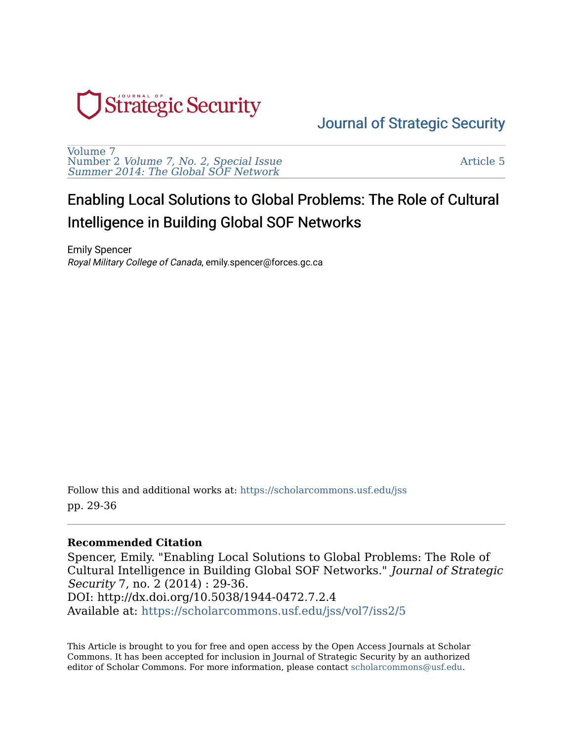

# [Journal of Strategic Security](https://scholarcommons.usf.edu/jss)

[Volume 7](https://scholarcommons.usf.edu/jss/vol7)  Number 2 [Volume 7, No. 2, Special Issue](https://scholarcommons.usf.edu/jss/vol7/iss2) [Summer 2014: The Global SOF Network](https://scholarcommons.usf.edu/jss/vol7/iss2)

[Article 5](https://scholarcommons.usf.edu/jss/vol7/iss2/5) 

# Enabling Local Solutions to Global Problems: The Role of Cultural Intelligence in Building Global SOF Networks

Emily Spencer Royal Military College of Canada, emily.spencer@forces.gc.ca

Follow this and additional works at: [https://scholarcommons.usf.edu/jss](https://scholarcommons.usf.edu/jss?utm_source=scholarcommons.usf.edu%2Fjss%2Fvol7%2Fiss2%2F5&utm_medium=PDF&utm_campaign=PDFCoverPages)  pp. 29-36

#### **Recommended Citation**

Spencer, Emily. "Enabling Local Solutions to Global Problems: The Role of Cultural Intelligence in Building Global SOF Networks." Journal of Strategic Security 7, no. 2 (2014) : 29-36. DOI: http://dx.doi.org/10.5038/1944-0472.7.2.4 Available at: [https://scholarcommons.usf.edu/jss/vol7/iss2/5](https://scholarcommons.usf.edu/jss/vol7/iss2/5?utm_source=scholarcommons.usf.edu%2Fjss%2Fvol7%2Fiss2%2F5&utm_medium=PDF&utm_campaign=PDFCoverPages) 

This Article is brought to you for free and open access by the Open Access Journals at Scholar Commons. It has been accepted for inclusion in Journal of Strategic Security by an authorized editor of Scholar Commons. For more information, please contact [scholarcommons@usf.edu](mailto:scholarcommons@usf.edu).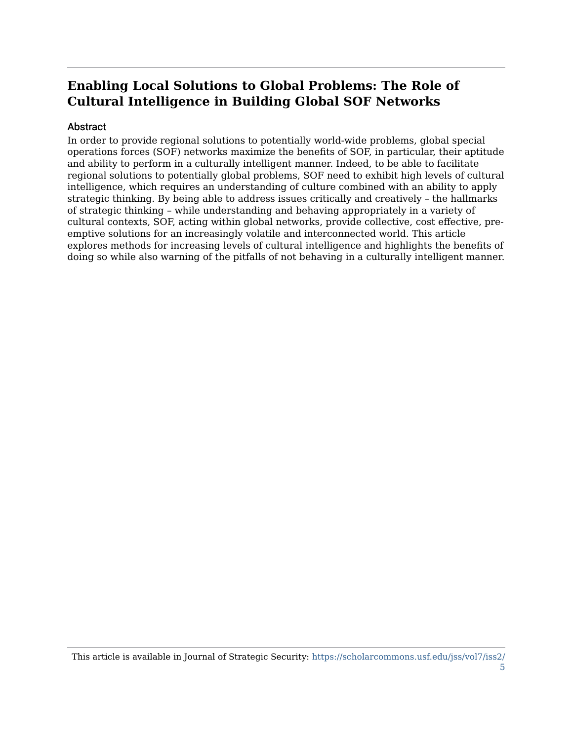# **Enabling Local Solutions to Global Problems: The Role of Cultural Intelligence in Building Global SOF Networks**

#### Abstract

In order to provide regional solutions to potentially world-wide problems, global special operations forces (SOF) networks maximize the benefits of SOF, in particular, their aptitude and ability to perform in a culturally intelligent manner. Indeed, to be able to facilitate regional solutions to potentially global problems, SOF need to exhibit high levels of cultural intelligence, which requires an understanding of culture combined with an ability to apply strategic thinking. By being able to address issues critically and creatively – the hallmarks of strategic thinking – while understanding and behaving appropriately in a variety of cultural contexts, SOF, acting within global networks, provide collective, cost effective, preemptive solutions for an increasingly volatile and interconnected world. This article explores methods for increasing levels of cultural intelligence and highlights the benefits of doing so while also warning of the pitfalls of not behaving in a culturally intelligent manner.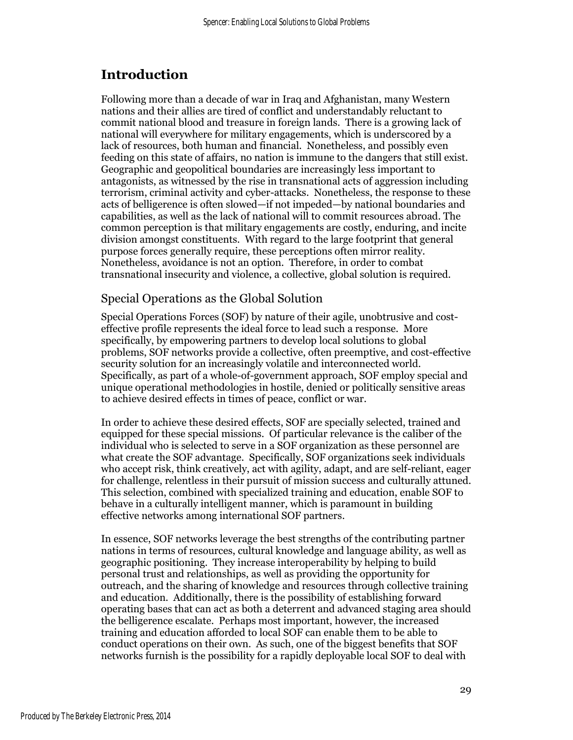# Introduction

Following more than a decade of war in Iraq and Afghanistan, many Western nations and their allies are tired of conflict and understandably reluctant to commit national blood and treasure in foreign lands. There is a growing lack of national will everywhere for military engagements, which is underscored by a lack of resources, both human and financial. Nonetheless, and possibly even feeding on this state of affairs, no nation is immune to the dangers that still exist. Geographic and geopolitical boundaries are increasingly less important to antagonists, as witnessed by the rise in transnational acts of aggression including terrorism, criminal activity and cyber-attacks. Nonetheless, the response to these acts of belligerence is often slowed—if not impeded—by national boundaries and capabilities, as well as the lack of national will to commit resources abroad. The common perception is that military engagements are costly, enduring, and incite division amongst constituents. With regard to the large footprint that general purpose forces generally require, these perceptions often mirror reality. Nonetheless, avoidance is not an option. Therefore, in order to combat transnational insecurity and violence, a collective, global solution is required.

## Special Operations as the Global Solution

Special Operations Forces (SOF) by nature of their agile, unobtrusive and costeffective profile represents the ideal force to lead such a response. More specifically, by empowering partners to develop local solutions to global problems, SOF networks provide a collective, often preemptive, and cost-effective security solution for an increasingly volatile and interconnected world. Specifically, as part of a whole-of-government approach, SOF employ special and unique operational methodologies in hostile, denied or politically sensitive areas to achieve desired effects in times of peace, conflict or war.

In order to achieve these desired effects, SOF are specially selected, trained and equipped for these special missions. Of particular relevance is the caliber of the individual who is selected to serve in a SOF organization as these personnel are what create the SOF advantage. Specifically, SOF organizations seek individuals who accept risk, think creatively, act with agility, adapt, and are self-reliant, eager for challenge, relentless in their pursuit of mission success and culturally attuned. This selection, combined with specialized training and education, enable SOF to behave in a culturally intelligent manner, which is paramount in building effective networks among international SOF partners.

In essence, SOF networks leverage the best strengths of the contributing partner nations in terms of resources, cultural knowledge and language ability, as well as geographic positioning. They increase interoperability by helping to build personal trust and relationships, as well as providing the opportunity for outreach, and the sharing of knowledge and resources through collective training and education. Additionally, there is the possibility of establishing forward operating bases that can act as both a deterrent and advanced staging area should the belligerence escalate. Perhaps most important, however, the increased training and education afforded to local SOF can enable them to be able to conduct operations on their own. As such, one of the biggest benefits that SOF networks furnish is the possibility for a rapidly deployable local SOF to deal with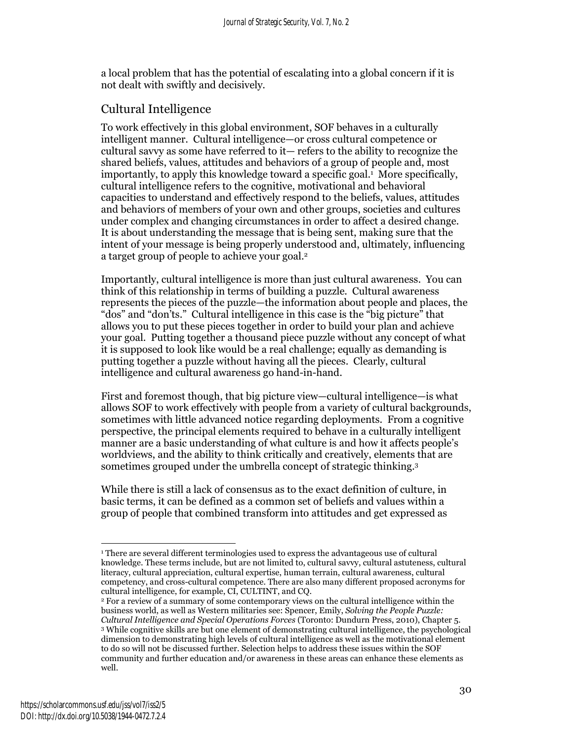a local problem that has the potential of escalating into a global concern if it is not dealt with swiftly and decisively.

## Cultural Intelligence

To work effectively in this global environment, SOF behaves in a culturally intelligent manner. Cultural intelligence—or cross cultural competence or cultural savvy as some have referred to it— refers to the ability to recognize the shared beliefs, values, attitudes and behaviors of a group of people and, most importantly, to apply this knowledge toward a specific goal.<sup>1</sup> More specifically, cultural intelligence refers to the cognitive, motivational and behavioral capacities to understand and effectively respond to the beliefs, values, attitudes and behaviors of members of your own and other groups, societies and cultures under complex and changing circumstances in order to affect a desired change. It is about understanding the message that is being sent, making sure that the intent of your message is being properly understood and, ultimately, influencing a target group of people to achieve your goal.<sup>2</sup>

Importantly, cultural intelligence is more than just cultural awareness. You can think of this relationship in terms of building a puzzle. Cultural awareness represents the pieces of the puzzle—the information about people and places, the "dos" and "don'ts." Cultural intelligence in this case is the "big picture" that allows you to put these pieces together in order to build your plan and achieve your goal. Putting together a thousand piece puzzle without any concept of what it is supposed to look like would be a real challenge; equally as demanding is putting together a puzzle without having all the pieces. Clearly, cultural intelligence and cultural awareness go hand-in-hand.

First and foremost though, that big picture view—cultural intelligence—is what allows SOF to work effectively with people from a variety of cultural backgrounds, sometimes with little advanced notice regarding deployments. From a cognitive perspective, the principal elements required to behave in a culturally intelligent manner are a basic understanding of what culture is and how it affects people's worldviews, and the ability to think critically and creatively, elements that are sometimes grouped under the umbrella concept of strategic thinking.<sup>3</sup>

While there is still a lack of consensus as to the exact definition of culture, in basic terms, it can be defined as a common set of beliefs and values within a group of people that combined transform into attitudes and get expressed as

<sup>-</sup>1 There are several different terminologies used to express the advantageous use of cultural knowledge. These terms include, but are not limited to, cultural savvy, cultural astuteness, cultural literacy, cultural appreciation, cultural expertise, human terrain, cultural awareness, cultural competency, and cross-cultural competence. There are also many different proposed acronyms for cultural intelligence, for example, CI, CULTINT, and CQ.

<sup>2</sup> For a review of a summary of some contemporary views on the cultural intelligence within the business world, as well as Western militaries see: Spencer, Emily, Solving the People Puzzle: Cultural Intelligence and Special Operations Forces (Toronto: Dundurn Press, 2010), Chapter 5. 3 While cognitive skills are but one element of demonstrating cultural intelligence, the psychological dimension to demonstrating high levels of cultural intelligence as well as the motivational element to do so will not be discussed further. Selection helps to address these issues within the SOF community and further education and/or awareness in these areas can enhance these elements as well.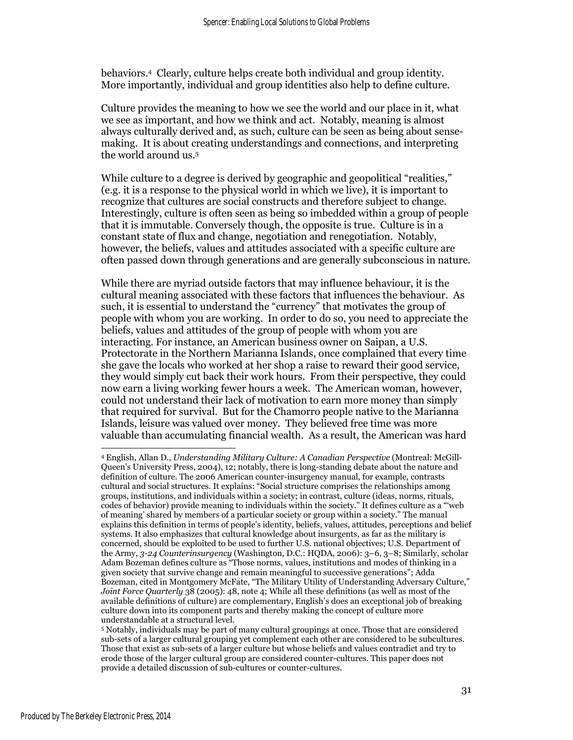behaviors.<sup>4</sup> Clearly, culture helps create both individual and group identity. More importantly, individual and group identities also help to define culture.

Culture provides the meaning to how we see the world and our place in it, what we see as important, and how we think and act. Notably, meaning is almost always culturally derived and, as such, culture can be seen as being about sensemaking. It is about creating understandings and connections, and interpreting the world around us.<sup>5</sup>

While culture to a degree is derived by geographic and geopolitical "realities," (e.g. it is a response to the physical world in which we live), it is important to recognize that cultures are social constructs and therefore subject to change. Interestingly, culture is often seen as being so imbedded within a group of people that it is immutable. Conversely though, the opposite is true. Culture is in a constant state of flux and change, negotiation and renegotiation. Notably, however, the beliefs, values and attitudes associated with a specific culture are often passed down through generations and are generally subconscious in nature.

While there are myriad outside factors that may influence behaviour, it is the cultural meaning associated with these factors that influences the behaviour. As such, it is essential to understand the "currency" that motivates the group of people with whom you are working. In order to do so, you need to appreciate the beliefs, values and attitudes of the group of people with whom you are interacting. For instance, an American business owner on Saipan, a U.S. Protectorate in the Northern Marianna Islands, once complained that every time she gave the locals who worked at her shop a raise to reward their good service, they would simply cut back their work hours. From their perspective, they could now earn a living working fewer hours a week. The American woman, however, could not understand their lack of motivation to earn more money than simply that required for survival. But for the Chamorro people native to the Marianna Islands, leisure was valued over money. They believed free time was more valuable than accumulating financial wealth. As a result, the American was hard

<u>.</u>

<sup>4</sup> English, Allan D., Understanding Military Culture: A Canadian Perspective (Montreal: McGill-Queen's University Press, 2004), 12; notably, there is long-standing debate about the nature and definition of culture. The 2006 American counter-insurgency manual, for example, contrasts cultural and social structures. It explains: "Social structure comprises the relationships among groups, institutions, and individuals within a society; in contrast, culture (ideas, norms, rituals, codes of behavior) provide meaning to individuals within the society." It defines culture as a "'web of meaning' shared by members of a particular society or group within a society." The manual explains this definition in terms of people's identity, beliefs, values, attitudes, perceptions and belief systems. It also emphasizes that cultural knowledge about insurgents, as far as the military is concerned, should be exploited to be used to further U.S. national objectives; U.S. Department of the Army, 3-24 Counterinsurgency (Washington, D.C.: HQDA, 2006): 3–6, 3–8; Similarly, scholar Adam Bozeman defines culture as "Those norms, values, institutions and modes of thinking in a given society that survive change and remain meaningful to successive generations"; Adda Bozeman, cited in Montgomery McFate, "The Military Utility of Understanding Adversary Culture," Joint Force Quarterly 38 (2005): 48, note 4; While all these definitions (as well as most of the available definitions of culture) are complementary, English's does an exceptional job of breaking culture down into its component parts and thereby making the concept of culture more understandable at a structural level.

<sup>5</sup> Notably, individuals may be part of many cultural groupings at once. Those that are considered sub-sets of a larger cultural grouping yet complement each other are considered to be subcultures. Those that exist as sub-sets of a larger culture but whose beliefs and values contradict and try to erode those of the larger cultural group are considered counter-cultures. This paper does not provide a detailed discussion of sub-cultures or counter-cultures.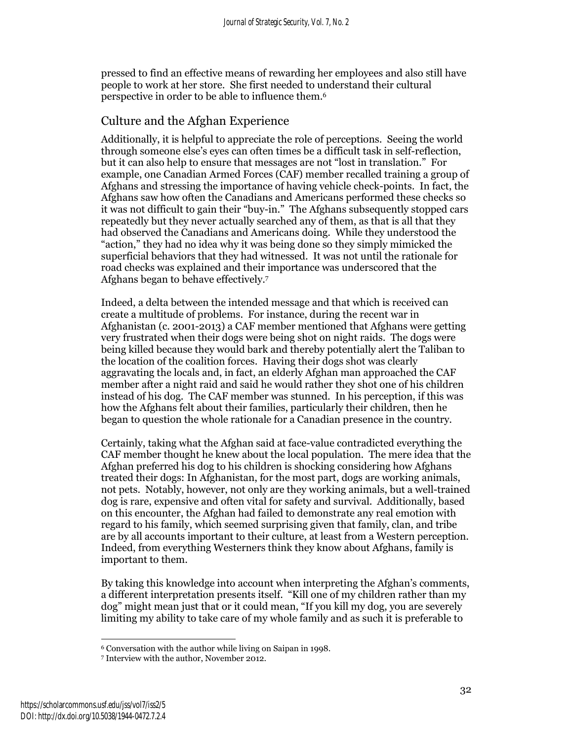pressed to find an effective means of rewarding her employees and also still have people to work at her store. She first needed to understand their cultural perspective in order to be able to influence them.<sup>6</sup>

#### Culture and the Afghan Experience

Additionally, it is helpful to appreciate the role of perceptions. Seeing the world through someone else's eyes can often times be a difficult task in self-reflection, but it can also help to ensure that messages are not "lost in translation." For example, one Canadian Armed Forces (CAF) member recalled training a group of Afghans and stressing the importance of having vehicle check-points. In fact, the Afghans saw how often the Canadians and Americans performed these checks so it was not difficult to gain their "buy-in." The Afghans subsequently stopped cars repeatedly but they never actually searched any of them, as that is all that they had observed the Canadians and Americans doing. While they understood the "action," they had no idea why it was being done so they simply mimicked the superficial behaviors that they had witnessed. It was not until the rationale for road checks was explained and their importance was underscored that the Afghans began to behave effectively.<sup>7</sup>

Indeed, a delta between the intended message and that which is received can create a multitude of problems. For instance, during the recent war in Afghanistan (c. 2001-2013) a CAF member mentioned that Afghans were getting very frustrated when their dogs were being shot on night raids. The dogs were being killed because they would bark and thereby potentially alert the Taliban to the location of the coalition forces. Having their dogs shot was clearly aggravating the locals and, in fact, an elderly Afghan man approached the CAF member after a night raid and said he would rather they shot one of his children instead of his dog. The CAF member was stunned. In his perception, if this was how the Afghans felt about their families, particularly their children, then he began to question the whole rationale for a Canadian presence in the country.

Certainly, taking what the Afghan said at face-value contradicted everything the CAF member thought he knew about the local population. The mere idea that the Afghan preferred his dog to his children is shocking considering how Afghans treated their dogs: In Afghanistan, for the most part, dogs are working animals, not pets. Notably, however, not only are they working animals, but a well-trained dog is rare, expensive and often vital for safety and survival. Additionally, based on this encounter, the Afghan had failed to demonstrate any real emotion with regard to his family, which seemed surprising given that family, clan, and tribe are by all accounts important to their culture, at least from a Western perception. Indeed, from everything Westerners think they know about Afghans, family is important to them.

By taking this knowledge into account when interpreting the Afghan's comments, a different interpretation presents itself. "Kill one of my children rather than my dog" might mean just that or it could mean, "If you kill my dog, you are severely limiting my ability to take care of my whole family and as such it is preferable to

<sup>-</sup><sup>6</sup> Conversation with the author while living on Saipan in 1998.

<sup>7</sup> Interview with the author, November 2012.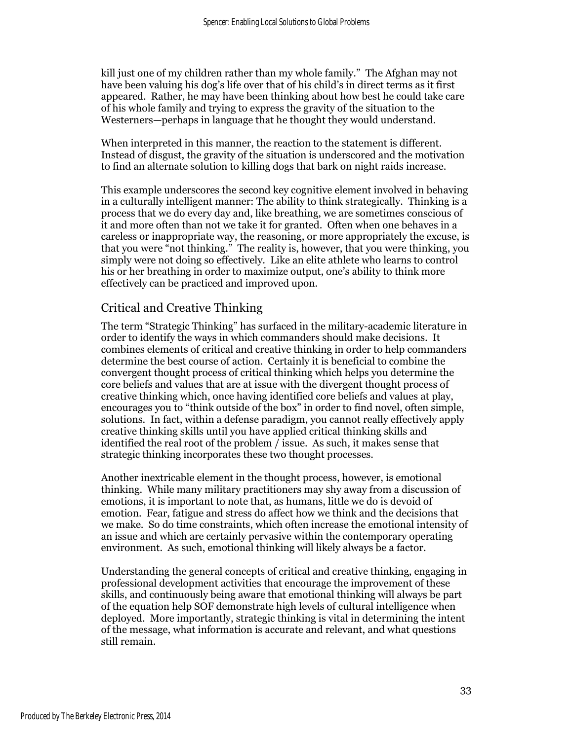kill just one of my children rather than my whole family." The Afghan may not have been valuing his dog's life over that of his child's in direct terms as it first appeared. Rather, he may have been thinking about how best he could take care of his whole family and trying to express the gravity of the situation to the Westerners—perhaps in language that he thought they would understand.

When interpreted in this manner, the reaction to the statement is different. Instead of disgust, the gravity of the situation is underscored and the motivation to find an alternate solution to killing dogs that bark on night raids increase.

This example underscores the second key cognitive element involved in behaving in a culturally intelligent manner: The ability to think strategically. Thinking is a process that we do every day and, like breathing, we are sometimes conscious of it and more often than not we take it for granted. Often when one behaves in a careless or inappropriate way, the reasoning, or more appropriately the excuse, is that you were "not thinking." The reality is, however, that you were thinking, you simply were not doing so effectively. Like an elite athlete who learns to control his or her breathing in order to maximize output, one's ability to think more effectively can be practiced and improved upon.

## Critical and Creative Thinking

The term "Strategic Thinking" has surfaced in the military-academic literature in order to identify the ways in which commanders should make decisions. It combines elements of critical and creative thinking in order to help commanders determine the best course of action. Certainly it is beneficial to combine the convergent thought process of critical thinking which helps you determine the core beliefs and values that are at issue with the divergent thought process of creative thinking which, once having identified core beliefs and values at play, encourages you to "think outside of the box" in order to find novel, often simple, solutions. In fact, within a defense paradigm, you cannot really effectively apply creative thinking skills until you have applied critical thinking skills and identified the real root of the problem / issue. As such, it makes sense that strategic thinking incorporates these two thought processes.

Another inextricable element in the thought process, however, is emotional thinking. While many military practitioners may shy away from a discussion of emotions, it is important to note that, as humans, little we do is devoid of emotion. Fear, fatigue and stress do affect how we think and the decisions that we make. So do time constraints, which often increase the emotional intensity of an issue and which are certainly pervasive within the contemporary operating environment. As such, emotional thinking will likely always be a factor.

Understanding the general concepts of critical and creative thinking, engaging in professional development activities that encourage the improvement of these skills, and continuously being aware that emotional thinking will always be part of the equation help SOF demonstrate high levels of cultural intelligence when deployed. More importantly, strategic thinking is vital in determining the intent of the message, what information is accurate and relevant, and what questions still remain.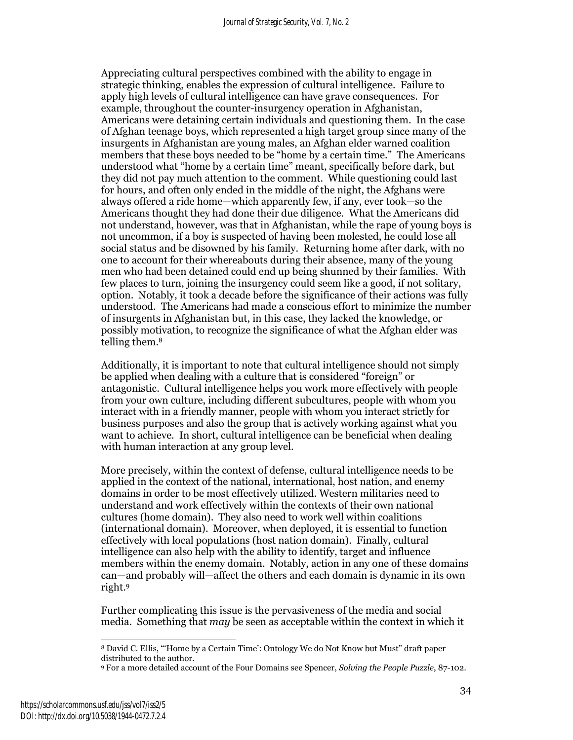Appreciating cultural perspectives combined with the ability to engage in strategic thinking, enables the expression of cultural intelligence. Failure to apply high levels of cultural intelligence can have grave consequences. For example, throughout the counter-insurgency operation in Afghanistan, Americans were detaining certain individuals and questioning them. In the case of Afghan teenage boys, which represented a high target group since many of the insurgents in Afghanistan are young males, an Afghan elder warned coalition members that these boys needed to be "home by a certain time." The Americans understood what "home by a certain time" meant, specifically before dark, but they did not pay much attention to the comment. While questioning could last for hours, and often only ended in the middle of the night, the Afghans were always offered a ride home—which apparently few, if any, ever took—so the Americans thought they had done their due diligence. What the Americans did not understand, however, was that in Afghanistan, while the rape of young boys is not uncommon, if a boy is suspected of having been molested, he could lose all social status and be disowned by his family. Returning home after dark, with no one to account for their whereabouts during their absence, many of the young men who had been detained could end up being shunned by their families. With few places to turn, joining the insurgency could seem like a good, if not solitary, option. Notably, it took a decade before the significance of their actions was fully understood. The Americans had made a conscious effort to minimize the number of insurgents in Afghanistan but, in this case, they lacked the knowledge, or possibly motivation, to recognize the significance of what the Afghan elder was telling them.<sup>8</sup>

Additionally, it is important to note that cultural intelligence should not simply be applied when dealing with a culture that is considered "foreign" or antagonistic. Cultural intelligence helps you work more effectively with people from your own culture, including different subcultures, people with whom you interact with in a friendly manner, people with whom you interact strictly for business purposes and also the group that is actively working against what you want to achieve. In short, cultural intelligence can be beneficial when dealing with human interaction at any group level.

More precisely, within the context of defense, cultural intelligence needs to be applied in the context of the national, international, host nation, and enemy domains in order to be most effectively utilized. Western militaries need to understand and work effectively within the contexts of their own national cultures (home domain). They also need to work well within coalitions (international domain). Moreover, when deployed, it is essential to function effectively with local populations (host nation domain). Finally, cultural intelligence can also help with the ability to identify, target and influence members within the enemy domain. Notably, action in any one of these domains can—and probably will—affect the others and each domain is dynamic in its own right.<sup>9</sup>

Further complicating this issue is the pervasiveness of the media and social media. Something that *may* be seen as acceptable within the context in which it

 $\ddot{\phantom{a}}$ <sup>8</sup> David C. Ellis, "'Home by a Certain Time': Ontology We do Not Know but Must" draft paper distributed to the author.

<sup>9</sup> For a more detailed account of the Four Domains see Spencer, Solving the People Puzzle, 87-102.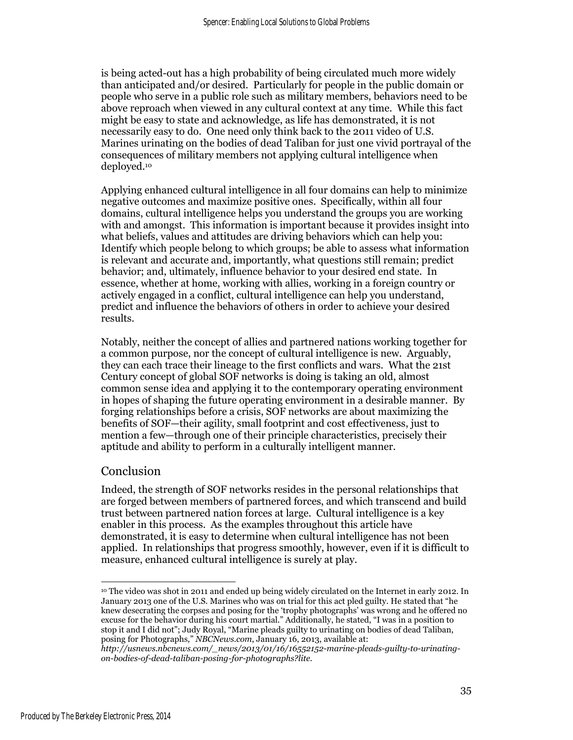is being acted-out has a high probability of being circulated much more widely than anticipated and/or desired. Particularly for people in the public domain or people who serve in a public role such as military members, behaviors need to be above reproach when viewed in any cultural context at any time. While this fact might be easy to state and acknowledge, as life has demonstrated, it is not necessarily easy to do. One need only think back to the 2011 video of U.S. Marines urinating on the bodies of dead Taliban for just one vivid portrayal of the consequences of military members not applying cultural intelligence when deployed.<sup>10</sup>

Applying enhanced cultural intelligence in all four domains can help to minimize negative outcomes and maximize positive ones. Specifically, within all four domains, cultural intelligence helps you understand the groups you are working with and amongst. This information is important because it provides insight into what beliefs, values and attitudes are driving behaviors which can help you: Identify which people belong to which groups; be able to assess what information is relevant and accurate and, importantly, what questions still remain; predict behavior; and, ultimately, influence behavior to your desired end state. In essence, whether at home, working with allies, working in a foreign country or actively engaged in a conflict, cultural intelligence can help you understand, predict and influence the behaviors of others in order to achieve your desired results.

Notably, neither the concept of allies and partnered nations working together for a common purpose, nor the concept of cultural intelligence is new. Arguably, they can each trace their lineage to the first conflicts and wars. What the 21st Century concept of global SOF networks is doing is taking an old, almost common sense idea and applying it to the contemporary operating environment in hopes of shaping the future operating environment in a desirable manner. By forging relationships before a crisis, SOF networks are about maximizing the benefits of SOF—their agility, small footprint and cost effectiveness, just to mention a few—through one of their principle characteristics, precisely their aptitude and ability to perform in a culturally intelligent manner.

### Conclusion

Indeed, the strength of SOF networks resides in the personal relationships that are forged between members of partnered forces, and which transcend and build trust between partnered nation forces at large. Cultural intelligence is a key enabler in this process. As the examples throughout this article have demonstrated, it is easy to determine when cultural intelligence has not been applied. In relationships that progress smoothly, however, even if it is difficult to measure, enhanced cultural intelligence is surely at play.

<sup>1</sup> <sup>10</sup> The video was shot in 2011 and ended up being widely circulated on the Internet in early 2012. In January 2013 one of the U.S. Marines who was on trial for this act pled guilty. He stated that "he knew desecrating the corpses and posing for the 'trophy photographs' was wrong and he offered no excuse for the behavior during his court martial." Additionally, he stated, "I was in a position to stop it and I did not"; Judy Royal, "Marine pleads guilty to urinating on bodies of dead Taliban, posing for Photographs," NBCNews.com, January 16, 2013, available at:

http://usnews.nbcnews.com/\_news/2013/01/16/16552152-marine-pleads-guilty-to-urinatingon-bodies-of-dead-taliban-posing-for-photographs?lite.